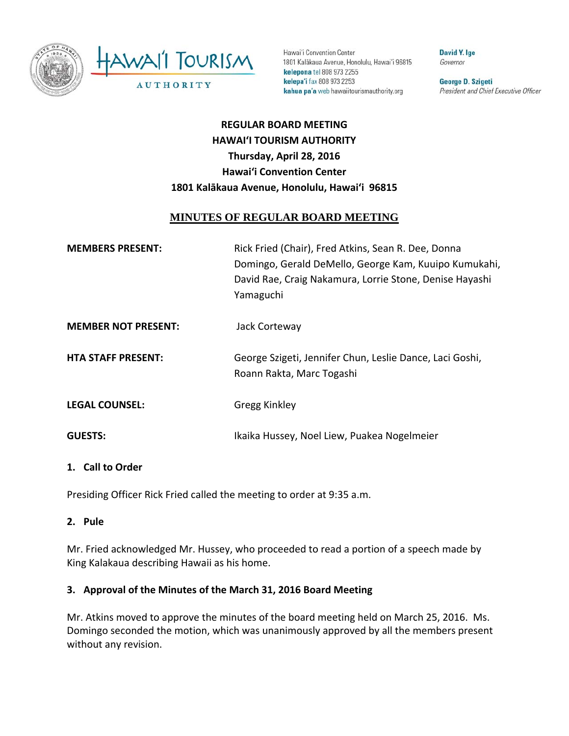

Hawai'i Convention Center 1801 Kalākaua Avenue, Honolulu, Hawai'i 96815 kelepona tel 808 973 2255 kelepa'i fax 808 973 2253 kahua pa'a web hawaiitourismauthority.org

David Y. Ige Governor

George D. Szigeti President and Chief Executive Officer

# **REGULAR BOARD MEETING HAWAI'I TOURISM AUTHORITY Thursday, April 28, 2016 Hawai'i Convention Center 1801 Kalākaua Avenue, Honolulu, Hawai'i 96815**

# **MINUTES OF REGULAR BOARD MEETING**

| <b>MEMBERS PRESENT:</b>    | Rick Fried (Chair), Fred Atkins, Sean R. Dee, Donna<br>Domingo, Gerald DeMello, George Kam, Kuuipo Kumukahi,<br>David Rae, Craig Nakamura, Lorrie Stone, Denise Hayashi<br>Yamaguchi |
|----------------------------|--------------------------------------------------------------------------------------------------------------------------------------------------------------------------------------|
| <b>MEMBER NOT PRESENT:</b> | Jack Corteway                                                                                                                                                                        |
| <b>HTA STAFF PRESENT:</b>  | George Szigeti, Jennifer Chun, Leslie Dance, Laci Goshi,<br>Roann Rakta, Marc Togashi                                                                                                |
| <b>LEGAL COUNSEL:</b>      | <b>Gregg Kinkley</b>                                                                                                                                                                 |
| <b>GUESTS:</b>             | Ikaika Hussey, Noel Liew, Puakea Nogelmeier                                                                                                                                          |

#### **1. Call to Order**

Presiding Officer Rick Fried called the meeting to order at 9:35 a.m.

**2. Pule**

Mr. Fried acknowledged Mr. Hussey, who proceeded to read a portion of a speech made by King Kalakaua describing Hawaii as his home.

#### **3. Approval of the Minutes of the March 31, 2016 Board Meeting**

Mr. Atkins moved to approve the minutes of the board meeting held on March 25, 2016. Ms. Domingo seconded the motion, which was unanimously approved by all the members present without any revision.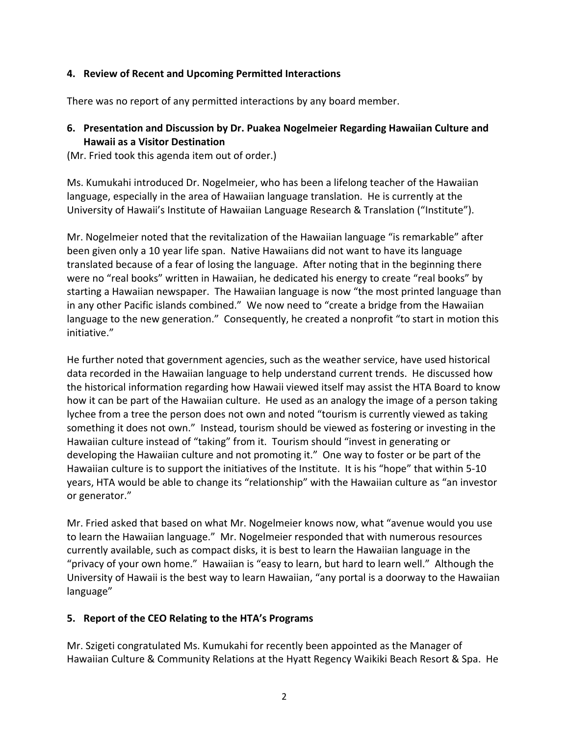## **4. Review of Recent and Upcoming Permitted Interactions**

There was no report of any permitted interactions by any board member.

## **6. Presentation and Discussion by Dr. Puakea Nogelmeier Regarding Hawaiian Culture and Hawaii as a Visitor Destination**

(Mr. Fried took this agenda item out of order.)

Ms. Kumukahi introduced Dr. Nogelmeier, who has been a lifelong teacher of the Hawaiian language, especially in the area of Hawaiian language translation. He is currently at the University of Hawaii's Institute of Hawaiian Language Research & Translation ("Institute").

Mr. Nogelmeier noted that the revitalization of the Hawaiian language "is remarkable" after been given only a 10 year life span. Native Hawaiians did not want to have its language translated because of a fear of losing the language. After noting that in the beginning there were no "real books" written in Hawaiian, he dedicated his energy to create "real books" by starting a Hawaiian newspaper. The Hawaiian language is now "the most printed language than in any other Pacific islands combined." We now need to "create a bridge from the Hawaiian language to the new generation." Consequently, he created a nonprofit "to start in motion this initiative."

He further noted that government agencies, such as the weather service, have used historical data recorded in the Hawaiian language to help understand current trends. He discussed how the historical information regarding how Hawaii viewed itself may assist the HTA Board to know how it can be part of the Hawaiian culture. He used as an analogy the image of a person taking lychee from a tree the person does not own and noted "tourism is currently viewed as taking something it does not own." Instead, tourism should be viewed as fostering or investing in the Hawaiian culture instead of "taking" from it. Tourism should "invest in generating or developing the Hawaiian culture and not promoting it." One way to foster or be part of the Hawaiian culture is to support the initiatives of the Institute. It is his "hope" that within 5‐10 years, HTA would be able to change its "relationship" with the Hawaiian culture as "an investor or generator."

Mr. Fried asked that based on what Mr. Nogelmeier knows now, what "avenue would you use to learn the Hawaiian language." Mr. Nogelmeier responded that with numerous resources currently available, such as compact disks, it is best to learn the Hawaiian language in the "privacy of your own home." Hawaiian is "easy to learn, but hard to learn well." Although the University of Hawaii is the best way to learn Hawaiian, "any portal is a doorway to the Hawaiian language"

## **5. Report of the CEO Relating to the HTA's Programs**

Mr. Szigeti congratulated Ms. Kumukahi for recently been appointed as the Manager of Hawaiian Culture & Community Relations at the Hyatt Regency Waikiki Beach Resort & Spa. He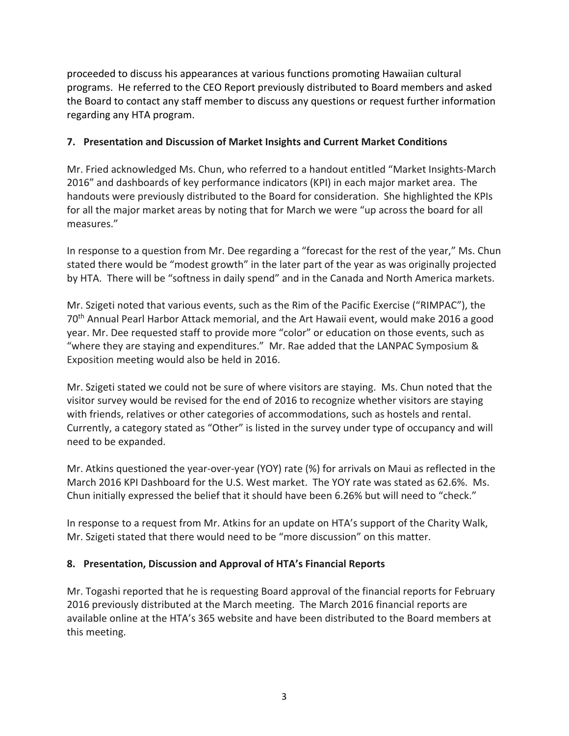proceeded to discuss his appearances at various functions promoting Hawaiian cultural programs. He referred to the CEO Report previously distributed to Board members and asked the Board to contact any staff member to discuss any questions or request further information regarding any HTA program.

#### **7. Presentation and Discussion of Market Insights and Current Market Conditions**

Mr. Fried acknowledged Ms. Chun, who referred to a handout entitled "Market Insights‐March 2016" and dashboards of key performance indicators (KPI) in each major market area. The handouts were previously distributed to the Board for consideration. She highlighted the KPIs for all the major market areas by noting that for March we were "up across the board for all measures."

In response to a question from Mr. Dee regarding a "forecast for the rest of the year," Ms. Chun stated there would be "modest growth" in the later part of the year as was originally projected by HTA. There will be "softness in daily spend" and in the Canada and North America markets.

Mr. Szigeti noted that various events, such as the Rim of the Pacific Exercise ("RIMPAC"), the 70th Annual Pearl Harbor Attack memorial, and the Art Hawaii event, would make 2016 a good year. Mr. Dee requested staff to provide more "color" or education on those events, such as "where they are staying and expenditures." Mr. Rae added that the LANPAC Symposium & Exposition meeting would also be held in 2016.

Mr. Szigeti stated we could not be sure of where visitors are staying. Ms. Chun noted that the visitor survey would be revised for the end of 2016 to recognize whether visitors are staying with friends, relatives or other categories of accommodations, such as hostels and rental. Currently, a category stated as "Other" is listed in the survey under type of occupancy and will need to be expanded.

Mr. Atkins questioned the year‐over‐year (YOY) rate (%) for arrivals on Maui as reflected in the March 2016 KPI Dashboard for the U.S. West market. The YOY rate was stated as 62.6%. Ms. Chun initially expressed the belief that it should have been 6.26% but will need to "check."

In response to a request from Mr. Atkins for an update on HTA's support of the Charity Walk, Mr. Szigeti stated that there would need to be "more discussion" on this matter.

## **8. Presentation, Discussion and Approval of HTA's Financial Reports**

Mr. Togashi reported that he is requesting Board approval of the financial reports for February 2016 previously distributed at the March meeting. The March 2016 financial reports are available online at the HTA's 365 website and have been distributed to the Board members at this meeting.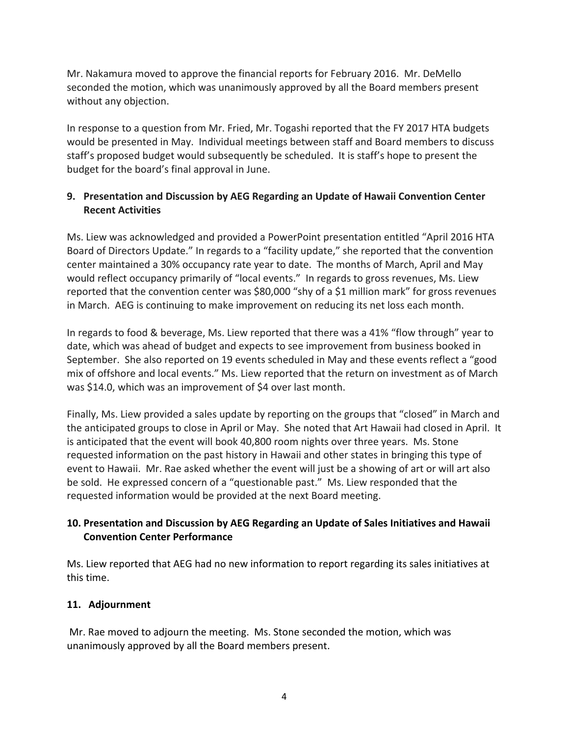Mr. Nakamura moved to approve the financial reports for February 2016. Mr. DeMello seconded the motion, which was unanimously approved by all the Board members present without any objection.

In response to a question from Mr. Fried, Mr. Togashi reported that the FY 2017 HTA budgets would be presented in May. Individual meetings between staff and Board members to discuss staff's proposed budget would subsequently be scheduled. It is staff's hope to present the budget for the board's final approval in June.

# **9. Presentation and Discussion by AEG Regarding an Update of Hawaii Convention Center Recent Activities**

Ms. Liew was acknowledged and provided a PowerPoint presentation entitled "April 2016 HTA Board of Directors Update." In regards to a "facility update," she reported that the convention center maintained a 30% occupancy rate year to date. The months of March, April and May would reflect occupancy primarily of "local events." In regards to gross revenues, Ms. Liew reported that the convention center was \$80,000 "shy of a \$1 million mark" for gross revenues in March. AEG is continuing to make improvement on reducing its net loss each month.

In regards to food & beverage, Ms. Liew reported that there was a 41% "flow through" year to date, which was ahead of budget and expects to see improvement from business booked in September. She also reported on 19 events scheduled in May and these events reflect a "good mix of offshore and local events." Ms. Liew reported that the return on investment as of March was \$14.0, which was an improvement of \$4 over last month.

Finally, Ms. Liew provided a sales update by reporting on the groups that "closed" in March and the anticipated groups to close in April or May. She noted that Art Hawaii had closed in April. It is anticipated that the event will book 40,800 room nights over three years. Ms. Stone requested information on the past history in Hawaii and other states in bringing this type of event to Hawaii. Mr. Rae asked whether the event will just be a showing of art or will art also be sold. He expressed concern of a "questionable past." Ms. Liew responded that the requested information would be provided at the next Board meeting.

# **10. Presentation and Discussion by AEG Regarding an Update of Sales Initiatives and Hawaii Convention Center Performance**

Ms. Liew reported that AEG had no new information to report regarding its sales initiatives at this time.

# **11. Adjournment**

Mr. Rae moved to adjourn the meeting. Ms. Stone seconded the motion, which was unanimously approved by all the Board members present.